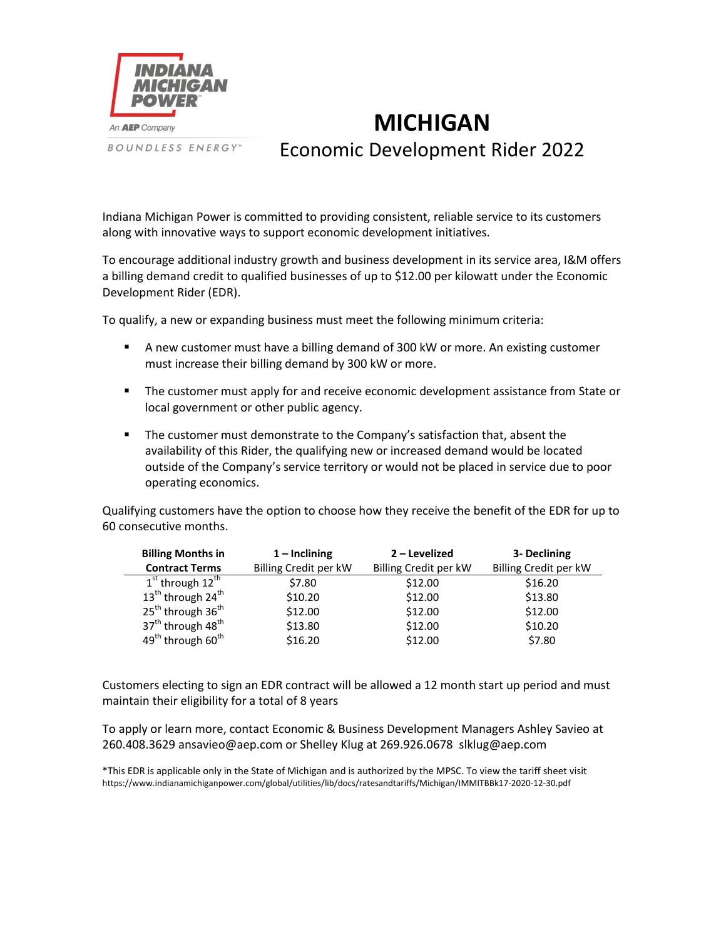

**BOUNDLESS ENERGY**"

## **MICHIGAN** Economic Development Rider 2022

Indiana Michigan Power is committed to providing consistent, reliable service to its customers along with innovative ways to support economic development initiatives.

To encourage additional industry growth and business development in its service area, I&M offers a billing demand credit to qualified businesses of up to \$12.00 per kilowatt under the Economic Development Rider (EDR).

To qualify, a new or expanding business must meet the following minimum criteria:

- A new customer must have a billing demand of 300 kW or more. An existing customer must increase their billing demand by 300 kW or more.
- **The customer must apply for and receive economic development assistance from State or** local government or other public agency.
- **The customer must demonstrate to the Company's satisfaction that, absent the** availability of this Rider, the qualifying new or increased demand would be located outside of the Company's service territory or would not be placed in service due to poor operating economics.

Qualifying customers have the option to choose how they receive the benefit of the EDR for up to 60 consecutive months.

| <b>Billing Months in</b>                  | $1$ – Inclining       | 2 – Levelized         | 3- Declining          |
|-------------------------------------------|-----------------------|-----------------------|-----------------------|
| <b>Contract Terms</b>                     | Billing Credit per kW | Billing Credit per kW | Billing Credit per kW |
| $1st$ through $12th$                      | \$7.80                | \$12.00               | \$16.20               |
| 13 <sup>th</sup> through 24 <sup>th</sup> | \$10.20               | \$12.00               | \$13.80               |
| 25 <sup>th</sup> through 36 <sup>th</sup> | \$12.00               | \$12.00               | \$12.00               |
| 37 <sup>th</sup> through 48 <sup>th</sup> | \$13.80               | \$12.00               | \$10.20               |
| 49 <sup>th</sup> through 60 <sup>th</sup> | \$16.20               | \$12.00               | \$7.80                |

Customers electing to sign an EDR contract will be allowed a 12 month start up period and must maintain their eligibility for a total of 8 years

To apply or learn more, contact Economic & Business Development Managers Ashley Savieo at 260.408.3629 ansavieo@aep.com or Shelley Klug at 269.926.0678 slklug@aep.com

\*This EDR is applicable only in the State of Michigan and is authorized by the MPSC. To view the tariff sheet visit [https://www.indianamichiganpower.com/global/utilities/lib/docs/ratesandtariffs/Michigan/IMMITB](https://www.indianamichiganpower.com/account/bills/rates/IandMRatesTariffsMI.aspx)Bk17-2020-12-30.pdf